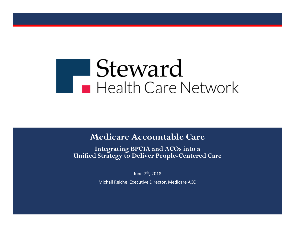# **Steward NEWAIU**<br>Realth Care Network

#### **Medicare Accountable Care**

#### **Integrating BPCIA and ACOs into a Unified Strategy to Deliver People-Centered Care**

June <sup>7</sup>th, 2018

Michail Reiche, Executive Director, Medicare ACO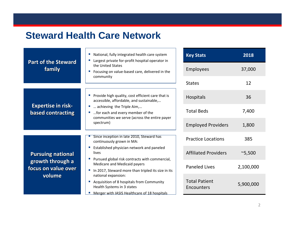#### **Steward Health Care Network**

| <b>Part of the Steward</b><br>family                                          | National, fully integrated health care system<br>Largest private for-profit hospital operator in                                                                    | <b>Key Stats</b>                   | 2018           |
|-------------------------------------------------------------------------------|---------------------------------------------------------------------------------------------------------------------------------------------------------------------|------------------------------------|----------------|
|                                                                               | the United States<br>Focusing on value-based care, delivered in the<br>community                                                                                    | <b>Employees</b>                   | 37,000         |
|                                                                               |                                                                                                                                                                     | <b>States</b>                      | 12             |
| <b>Expertise in risk-</b><br>based contracting                                | Provide high quality, cost efficient care that is<br>accessible, affordable, and sustainable,                                                                       | Hospitals                          | 36             |
|                                                                               | achieving the Triple Aim,<br>for each and every member of the                                                                                                       | <b>Total Beds</b>                  | 7,400          |
|                                                                               | communities we serve (across the entire payer<br>spectrum)                                                                                                          | <b>Employed Providers</b>          | 1,800          |
| <b>Pursuing national</b><br>growth through a<br>focus on value over<br>volume | Since inception in late 2010, Steward has<br>continuously grown in MA:                                                                                              | <b>Practice Locations</b>          | 385            |
|                                                                               | Established physician network and paneled<br>lives                                                                                                                  | <b>Affiliated Providers</b>        | $^{\sim}5,500$ |
|                                                                               | Pursued global risk contracts with commercial,<br>Medicare and Medicaid payers<br>In 2017, Steward more than tripled its size in its<br>$\mathcal{L}_{\mathcal{A}}$ | <b>Paneled Lives</b>               | 2,100,000      |
|                                                                               | national expansion:<br>Acquisition of 8 hospitals from Community<br>Health Systems in 3 states<br>Merger with IASIS Healthcare of 18 hospitals<br>ш                 | <b>Total Patient</b><br>Encounters | 5,900,000      |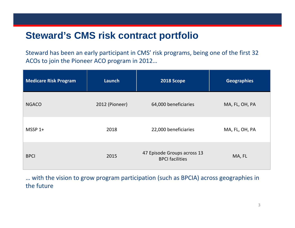### **Steward's CMS risk contract portfolio**

Steward has been an early participant in CMS' risk programs, being one of the first 32 ACOs to join the Pioneer ACO program in 2012…

| <b>Medicare Risk Program</b> | Launch         | 2018 Scope                                            | <b>Geographies</b> |
|------------------------------|----------------|-------------------------------------------------------|--------------------|
| <b>NGACO</b>                 | 2012 (Pioneer) | 64,000 beneficiaries                                  | MA, FL, OH, PA     |
| $MSSP 1+$                    | 2018           | 22,000 beneficiaries                                  | MA, FL, OH, PA     |
| <b>BPCI</b>                  | 2015           | 47 Episode Groups across 13<br><b>BPCI</b> facilities | MA, FL             |

… wit h the vision to grow program participation (such as BPCIA) across geographies in the future